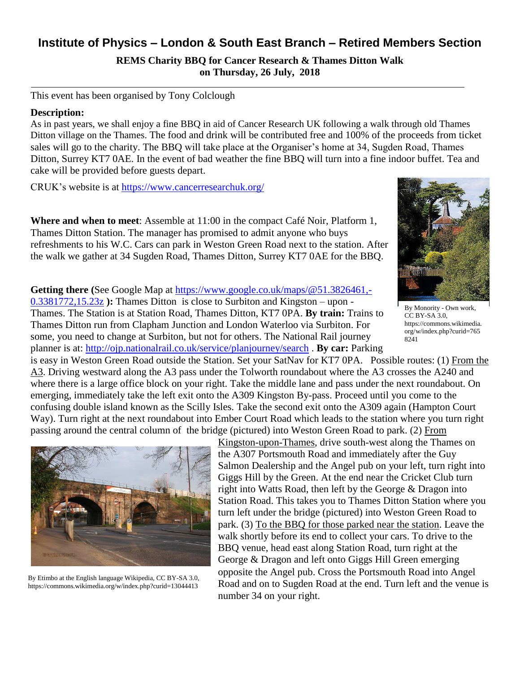## **Institute of Physics – London & South East Branch – Retired Members Section**

**REMS Charity BBQ for Cancer Research & Thames Ditton Walk on Thursday, 26 July, 2018**

This event has been organised by Tony Colclough

## **Description:**

As in past years, we shall enjoy a fine BBQ in aid of Cancer Research UK following a walk through old Thames Ditton village on the Thames. The food and drink will be contributed free and 100% of the proceeds from ticket sales will go to the charity. The BBQ will take place at the Organiser's home at 34, Sugden Road, Thames Ditton, Surrey KT7 0AE. In the event of bad weather the fine BBQ will turn into a fine indoor buffet. Tea and cake will be provided before guests depart.

CRUK's website is at<https://www.cancerresearchuk.org/>

**Where and when to meet**: Assemble at 11:00 in the compact Café Noir, Platform 1, Thames Ditton Station. The manager has promised to admit anyone who buys refreshments to his W.C. Cars can park in Weston Green Road next to the station. After the walk we gather at 34 Sugden Road, Thames Ditton, Surrey KT7 0AE for the BBQ.

**Getting there (**See Google Map at [https://www.google.co.uk/maps/@51.3826461,-](https://www.google.co.uk/maps/@51.3826461,-0.3381772,15.23z) [0.3381772,15.23z](https://www.google.co.uk/maps/@51.3826461,-0.3381772,15.23z) **):** Thames Ditton is close to Surbiton and Kingston – upon - Thames. The Station is at Station Road, Thames Ditton, KT7 0PA. **By train:** Trains to Thames Ditton run from Clapham Junction and London Waterloo via Surbiton. For some, you need to change at Surbiton, but not for others. The National Rail journey planner is at: <http://ojp.nationalrail.co.uk/service/planjourney/search> . **By car:** Parking



By Monority - Own work, CC BY-SA 3.0, https://commons.wikimedia. org/w/index.php?curid=765 8241

is easy in Weston Green Road outside the Station. Set your SatNav for KT7 0PA. Possible routes: (1) From the A3. Driving westward along the A3 pass under the Tolworth roundabout where the A3 crosses the A240 and where there is a large office block on your right. Take the middle lane and pass under the next roundabout. On emerging, immediately take the left exit onto the A309 Kingston By-pass. Proceed until you come to the confusing double island known as the Scilly Isles. Take the second exit onto the A309 again (Hampton Court Way). Turn right at the next roundabout into Ember Court Road which leads to the station where you turn right passing around the central column of the bridge (pictured) into Weston Green Road to park. (2) From



By Etimbo at the English language Wikipedia, CC BY-SA 3.0, https://commons.wikimedia.org/w/index.php?curid=13044413

Kingston-upon-Thames, drive south-west along the Thames on the A307 Portsmouth Road and immediately after the Guy Salmon Dealership and the Angel pub on your left, turn right into Giggs Hill by the Green. At the end near the Cricket Club turn right into Watts Road, then left by the George & Dragon into Station Road. This takes you to Thames Ditton Station where you turn left under the bridge (pictured) into Weston Green Road to park. (3) To the BBQ for those parked near the station. Leave the walk shortly before its end to collect your cars. To drive to the BBQ venue, head east along Station Road, turn right at the George & Dragon and left onto Giggs Hill Green emerging opposite the Angel pub. Cross the Portsmouth Road into Angel Road and on to Sugden Road at the end. Turn left and the venue is number 34 on your right.